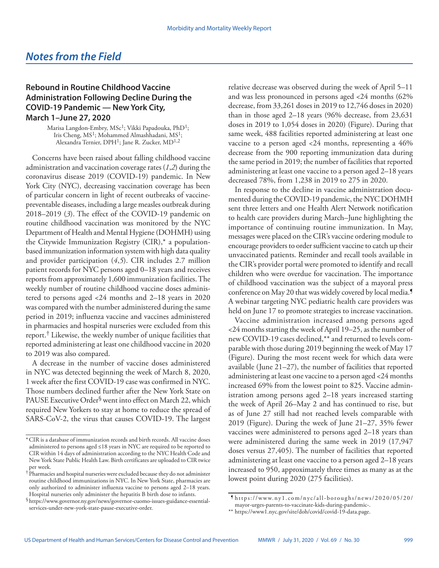## **Rebound in Routine Childhood Vaccine Administration Following Decline During the COVID-19 Pandemic — New York City, March 1–June 27, 2020**

Marisa Langdon-Embry, MSc<sup>1</sup>; Vikki Papadouka, PhD<sup>1</sup>; Iris Cheng, MS<sup>1</sup>; Mohammed Almashhadani, MS<sup>1</sup>; Alexandra Ternier, DPH<sup>1</sup>; Jane R. Zucker, MD<sup>1,2</sup>

Concerns have been raised about falling childhood vaccine administration and vaccination coverage rates (*1*,*2*) during the coronavirus disease 2019 (COVID-19) pandemic. In New York City (NYC), decreasing vaccination coverage has been of particular concern in light of recent outbreaks of vaccinepreventable diseases, including a large measles outbreak during 2018–2019 (*3*). The effect of the COVID-19 pandemic on routine childhood vaccination was monitored by the NYC Department of Health and Mental Hygiene (DOHMH) using the Citywide Immunization Registry (CIR),\* a populationbased immunization information system with high data quality and provider participation (*4*,*5*). CIR includes 2.7 million patient records for NYC persons aged 0–18 years and receives reports from approximately 1,600 immunization facilities. The weekly number of routine childhood vaccine doses administered to persons aged <24 months and 2–18 years in 2020 was compared with the number administered during the same period in 2019; influenza vaccine and vaccines administered in pharmacies and hospital nurseries were excluded from this report. $^{\dagger}$  Likewise, the weekly number of unique facilities that reported administering at least one childhood vaccine in 2020 to 2019 was also compared.

A decrease in the number of vaccine doses administered in NYC was detected beginning the week of March 8, 2020, 1 week after the first COVID-19 case was confirmed in NYC. Those numbers declined further after the New York State on PAUSE Executive Order§ went into effect on March 22, which required New Yorkers to stay at home to reduce the spread of SARS-CoV-2, the virus that causes COVID-19. The largest

relative decrease was observed during the week of April 5–11 and was less pronounced in persons aged <24 months (62% decrease, from 33,261 doses in 2019 to 12,746 doses in 2020) than in those aged 2–18 years (96% decrease, from 23,631 doses in 2019 to 1,054 doses in 2020) (Figure). During that same week, 488 facilities reported administering at least one vaccine to a person aged <24 months, representing a 46% decrease from the 900 reporting immunization data during the same period in 2019; the number of facilities that reported administering at least one vaccine to a person aged 2–18 years decreased 78%, from 1,238 in 2019 to 275 in 2020.

In response to the decline in vaccine administration documented during the COVID-19 pandemic, the NYC DOHMH sent three letters and one Health Alert Network notification to health care providers during March–June highlighting the importance of continuing routine immunization. In May, messages were placed on the CIR's vaccine ordering module to encourage providers to order sufficient vaccine to catch up their unvaccinated patients. Reminder and recall tools available in the CIR's provider portal were promoted to identify and recall children who were overdue for vaccination. The importance of childhood vaccination was the subject of a mayoral press conference on May 20 that was widely covered by local media.¶ A webinar targeting NYC pediatric health care providers was held on June 17 to promote strategies to increase vaccination.

Vaccine administration increased among persons aged <24 months starting the week of April 19–25, as the number of new COVID-19 cases declined,\*\* and returned to levels comparable with those during 2019 beginning the week of May 17 (Figure). During the most recent week for which data were available (June 21–27), the number of facilities that reported administering at least one vaccine to a person aged <24 months increased 69% from the lowest point to 825. Vaccine administration among persons aged 2–18 years increased starting the week of April 26–May 2 and has continued to rise, but as of June 27 still had not reached levels comparable with 2019 (Figure). During the week of June 21–27, 35% fewer vaccines were administered to persons aged 2–18 years than were administered during the same week in 2019 (17,947 doses versus 27,405). The number of facilities that reported administering at least one vaccine to a person aged 2–18 years increased to 950, approximately three times as many as at the lowest point during 2020 (275 facilities).

<sup>\*</sup>CIR is a database of immunization records and birth records. All vaccine doses administered to persons aged ≤18 years in NYC are required to be reported to CIR within 14 days of administration according to the NYC Health Code and New York State Public Health Law. Birth certificates are uploaded to CIR twice per week.

<sup>†</sup> Pharmacies and hospital nurseries were excluded because they do not administer routine childhood immunizations in NYC. In New York State, pharmacies are only authorized to administer influenza vaccine to persons aged 2–18 years. Hospital nurseries only administer the hepatitis B birth dose to infants.

<sup>§</sup>[https://www.governor.ny.gov/news/governor-cuomo-issues-guidance-essential](https://www.governor.ny.gov/news/governor-cuomo-issues-guidance-essential-services-under-new-york-state-pause-executive-order)[services-under-new-york-state-pause-executive-order](https://www.governor.ny.gov/news/governor-cuomo-issues-guidance-essential-services-under-new-york-state-pause-executive-order).

<sup>¶</sup> [https://www.ny1.com/nyc/all-boroughs/news/2020/05/20/](https://www.ny1.com/nyc/all-boroughs/news/2020/05/20/mayor-urges-parents-to-vaccinate-kids-during-pandemic-) [mayor-urges-parents-to-vaccinate-kids-during-pandemic-.](https://www.ny1.com/nyc/all-boroughs/news/2020/05/20/mayor-urges-parents-to-vaccinate-kids-during-pandemic-)

<sup>\*\*</sup> [https://www1.nyc.gov/site/doh/covid/covid-19-data.page.](https://www1.nyc.gov/site/doh/covid/covid-19-data.page)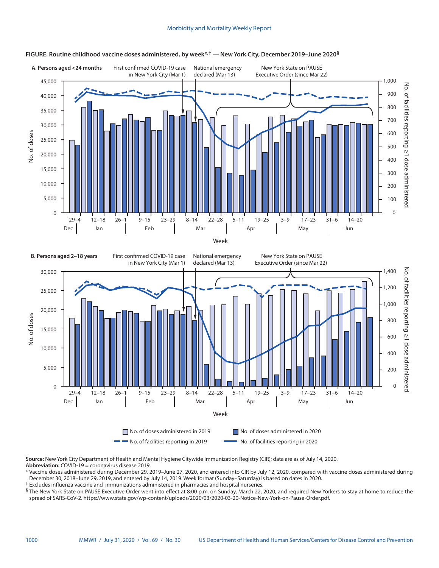## Morbidity and Mortality Weekly Report



## **FIGURE. Routine childhood vaccine doses administered, by week\*,† — New York City, December 2019–June 2020§**

**Source:** New York City Department of Health and Mental Hygiene Citywide Immunization Registry (CIR); data are as of July 14, 2020. **Abbreviation:** COVID-19 = coronavirus disease 2019.

\* Vaccine doses administered during December 29, 2019–June 27, 2020, and entered into CIR by July 12, 2020, compared with vaccine doses administered during December 30, 2018–June 29, 2019, and entered by July 14, 2019. Week format (Sunday–Saturday) is based on dates in 2020.

† Excludes influenza vaccine and immunizations administered in pharmacies and hospital nurseries.

§ The New York State on PAUSE Executive Order went into effect at 8:00 p.m. on Sunday, March 22, 2020, and required New Yorkers to stay at home to reduce the spread of SARS-CoV-2. [https://www.state.gov/wp-content/uploads/2020/03/2020-03-20-Notice-New-York-on-Pause-Order.pdf.](https://www.state.gov/wp-content/uploads/2020/03/2020-03-20-Notice-New-York-on-Pause-Order.pdf)